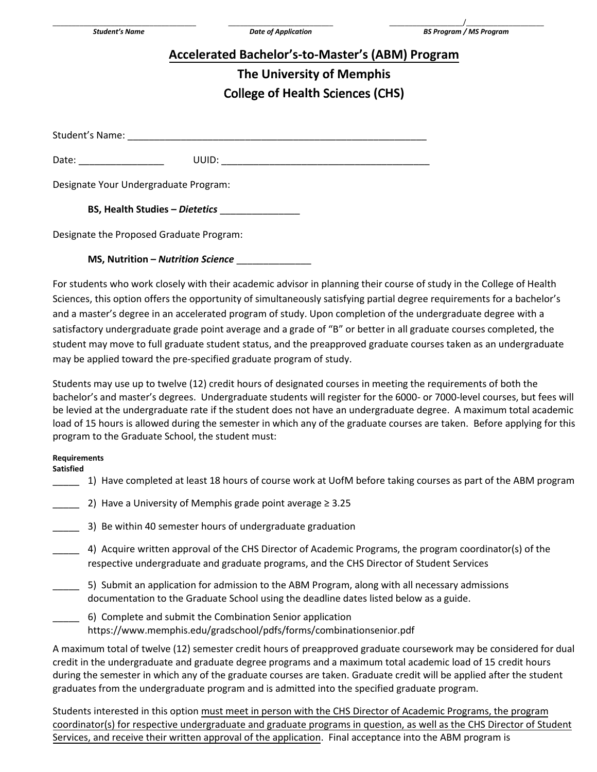# **Accelerated Bachelor's-to-Master's (ABM) Program**

## **The University of Memphis**  College **of Health** Sciences **(**C**HS)**

Student's Name:

Date: \_\_\_\_\_\_\_\_\_\_\_\_\_\_\_\_ UUID: \_\_\_\_\_\_\_\_\_\_\_\_\_\_\_\_\_\_\_\_\_\_\_\_\_\_\_\_\_\_\_\_\_\_\_\_\_\_\_

Designate Your Undergraduate Program:

**BS, Health Studies –** *Dietetics* \_\_\_\_\_\_\_\_\_\_\_\_\_\_\_

Designate the Proposed Graduate Program:

#### **MS, Nutrition –** *Nutrition Science* \_\_\_\_\_\_\_\_\_\_\_\_\_\_

For students who work closely with their academic advisor in planning their course of study in the College of Health Sciences, this option offers the opportunity of simultaneously satisfying partial degree requirements for a bachelor's and a master's degree in an accelerated program of study. Upon completion of the undergraduate degree with a satisfactory undergraduate grade point average and a grade of "B" or better in all graduate courses completed, the student may move to full graduate student status, and the preapproved graduate courses taken as an undergraduate may be applied toward the pre-specified graduate program of study.

Students may use up to twelve (12) credit hours of designated courses in meeting the requirements of both the bachelor's and master's degrees. Undergraduate students will register for the 6000- or 7000-level courses, but fees will be levied at the undergraduate rate if the student does not have an undergraduate degree. A maximum total academic load of 15 hours is allowed during the semester in which any of the graduate courses are taken. Before applying for this program to the Graduate School, the student must:

#### **Requirements**

**Satisfied** 

- \_\_\_\_\_ 1) Have completed at least 18 hours of course work at UofM before taking courses as part of the ABM program
- 2) Have a University of Memphis grade point average  $\geq 3.25$ 
	- \_\_\_\_\_ 3) Be within 40 semester hours of undergraduate graduation
- \_\_\_\_\_ 4) Acquire written approval of the CHS Director of Academic Programs, the program coordinator(s) of the respective undergraduate and graduate programs, and the CHS Director of Student Services
- 5) Submit an application for admission to the ABM Program, along with all necessary admissions documentation to the Graduate School using the deadline dates listed below as a guide.
- \_\_\_\_\_ 6) Complete and submit the Combination Senior application https://www.memphis.edu/gradschool/pdfs/forms/combinationsenior.pdf

A maximum total of twelve (12) semester credit hours of preapproved graduate coursework may be considered for dual credit in the undergraduate and graduate degree programs and a maximum total academic load of 15 credit hours during the semester in which any of the graduate courses are taken. Graduate credit will be applied after the student graduates from the undergraduate program and is admitted into the specified graduate program.

Students interested in this option must meet in person with the CHS Director of Academic Programs, the program coordinator(s) for respective undergraduate and graduate programs in question, as well as the CHS Director of Student Services, and receive their written approval of the application. Final acceptance into the ABM program is